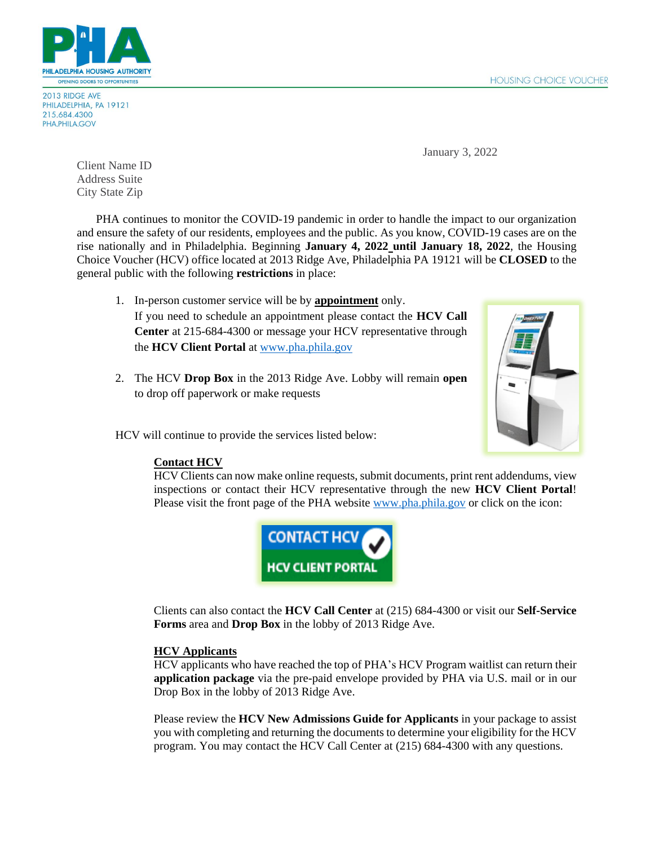

2013 RIDGE AVE PHILADELPHIA, PA 19121 215.684.4300 PHA.PHILA.GOV

January 3, 2022

Client Name ID Address Suite City State Zip

PHA continues to monitor the COVID-19 pandemic in order to handle the impact to our organization and ensure the safety of our residents, employees and the public. As you know, COVID-19 cases are on the rise nationally and in Philadelphia. Beginning **January 4, 2022 until January 18, 2022**, the Housing Choice Voucher (HCV) office located at 2013 Ridge Ave, Philadelphia PA 19121 will be **CLOSED** to the general public with the following **restrictions** in place:

- 1. In-person customer service will be by **appointment** only. If you need to schedule an appointment please contact the **HCV Call Center** at 215-684-4300 or message your HCV representative through the **HCV Client Portal** at [www.pha.phila.gov](file://///csrvfil001/Xeroxscans/HCV%20Confidental/2020%20August/COVID%20Update%20letters/www.pha.phila.gov)
- 2. The HCV **Drop Box** in the 2013 Ridge Ave. Lobby will remain **open** to drop off paperwork or make requests



HCV will continue to provide the services listed below:

# **Contact HCV**

HCV Clients can now make online requests, submit documents, print rent addendums, view inspections or contact their HCV representative through the new **HCV Client Portal**! Please visit the front page of the PHA website [www.pha.phila.gov](file://///csrvfil001/Xeroxscans/HCV%20Confidental/2020%20August/COVID%20Update%20letters/www.pha.phila.gov) or click on the icon:



Clients can also contact the **HCV Call Center** at (215) 684-4300 or visit our **Self-Service Forms** area and **Drop Box** in the lobby of 2013 Ridge Ave.

# **HCV Applicants**

HCV applicants who have reached the top of PHA's HCV Program waitlist can return their **application package** via the pre-paid envelope provided by PHA via U.S. mail or in our Drop Box in the lobby of 2013 Ridge Ave.

Please review the **HCV New Admissions Guide for Applicants** in your package to assist you with completing and returning the documents to determine your eligibility for the HCV program. You may contact the HCV Call Center at (215) 684-4300 with any questions.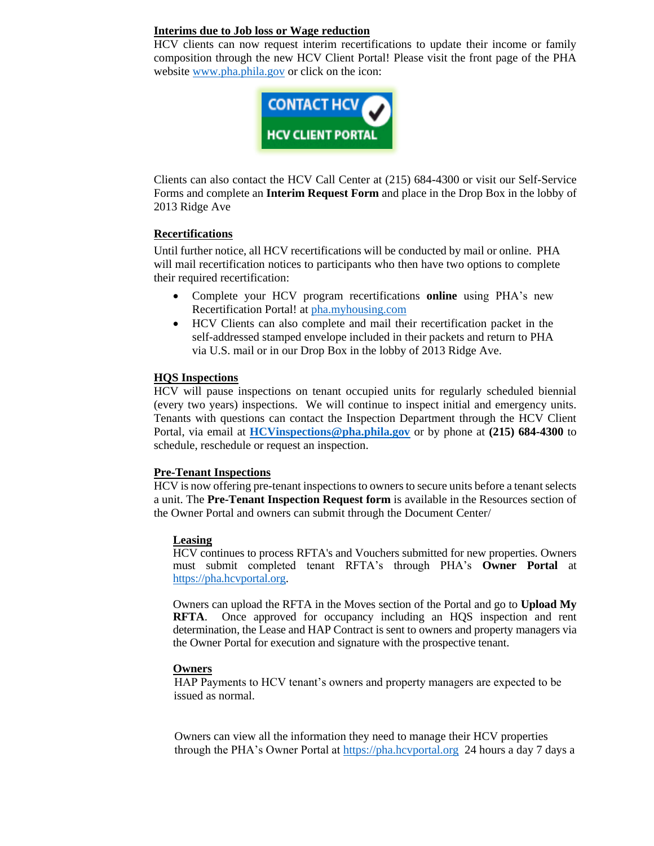#### **Interims due to Job loss or Wage reduction**

HCV clients can now request interim recertifications to update their income or family composition through the new HCV Client Portal! Please visit the front page of the PHA website [www.pha.phila.gov](file:///C:/Users/manilasm/AppData/Local/Temp/notesD90374/www.pha.phila.gov) or click on the icon:



Clients can also contact the HCV Call Center at (215) 684-4300 or visit our Self-Service Forms and complete an **Interim Request Form** and place in the Drop Box in the lobby of 2013 Ridge Ave

#### **Recertifications**

Until further notice, all HCV recertifications will be conducted by mail or online. PHA will mail recertification notices to participants who then have two options to complete their required recertification:

- Complete your HCV program recertifications **online** using PHA's new Recertification Portal! at [pha.myhousing.com](file:///C:/Users/holdenb/AppData/Local/Temp/notes57DFA1/pha.myhousing.com)
- HCV Clients can also complete and mail their recertification packet in the self-addressed stamped envelope included in their packets and return to PHA via U.S. mail or in our Drop Box in the lobby of 2013 Ridge Ave.

#### **HQS Inspections**

HCV will pause inspections on tenant occupied units for regularly scheduled biennial (every two years) inspections. We will continue to inspect initial and emergency units. Tenants with questions can contact the Inspection Department through the HCV Client Portal, via email at **[HCVinspections@pha.phila.gov](mailto:HCVinspections@pha.phila.gov)** or by phone at **(215) 684-4300** to schedule, reschedule or request an inspection.

## **Pre-Tenant Inspections**

HCV is now offering pre-tenant inspections to owners to secure units before a tenant selects a unit. The **Pre-Tenant Inspection Request form** is available in the Resources section of the Owner Portal and owners can submit through the Document Center/

## **Leasing**

HCV continues to process RFTA's and Vouchers submitted for new properties. Owners must submit completed tenant RFTA's through PHA's **Owner Portal** at [https://pha.hcvportal.org.](https://pha.hcvportal.org/)

Owners can upload the RFTA in the Moves section of the Portal and go to **Upload My RFTA**. Once approved for occupancy including an HQS inspection and rent determination, the Lease and HAP Contract is sent to owners and property managers via the Owner Portal for execution and signature with the prospective tenant.

#### **Owners**

HAP Payments to HCV tenant's owners and property managers are expected to be issued as normal.

 Owners can view all the information they need to manage their HCV properties through the PHA's Owner Portal at [https://pha.hcvportal.org](https://pha.hcvportal.org/) 24 hours a day 7 days a